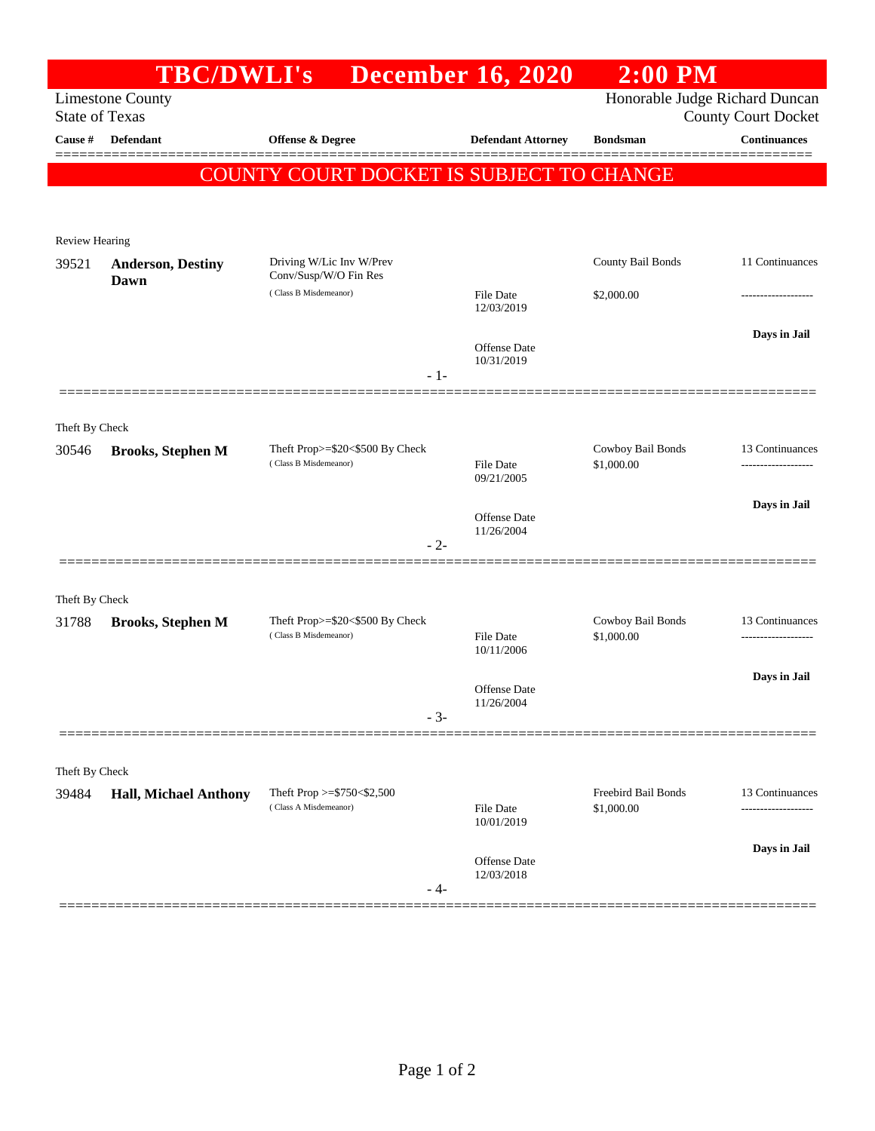|                                          | <b>TBC/DWLI's</b>            |                                                              | <b>December 16, 2020</b>       | $2:00$ PM                         |                                        |  |  |  |  |
|------------------------------------------|------------------------------|--------------------------------------------------------------|--------------------------------|-----------------------------------|----------------------------------------|--|--|--|--|
| <b>State of Texas</b>                    | <b>Limestone County</b>      | Honorable Judge Richard Duncan<br><b>County Court Docket</b> |                                |                                   |                                        |  |  |  |  |
| Cause #                                  | Defendant                    | Offense & Degree                                             | <b>Defendant Attorney</b>      | <b>Bondsman</b>                   | <b>Continuances</b>                    |  |  |  |  |
|                                          |                              |                                                              |                                |                                   |                                        |  |  |  |  |
| COUNTY COURT DOCKET IS SUBJECT TO CHANGE |                              |                                                              |                                |                                   |                                        |  |  |  |  |
|                                          |                              |                                                              |                                |                                   |                                        |  |  |  |  |
| <b>Review Hearing</b>                    |                              |                                                              |                                |                                   |                                        |  |  |  |  |
| 39521                                    | <b>Anderson, Destiny</b>     | Driving W/Lic Inv W/Prev<br>Conv/Susp/W/O Fin Res            |                                | County Bail Bonds                 | 11 Continuances                        |  |  |  |  |
|                                          | Dawn                         | (Class B Misdemeanor)                                        | File Date                      | \$2,000.00                        | --------------                         |  |  |  |  |
|                                          |                              |                                                              | 12/03/2019                     |                                   |                                        |  |  |  |  |
|                                          |                              |                                                              | Offense Date                   |                                   | Days in Jail                           |  |  |  |  |
|                                          |                              | $-1-$                                                        | 10/31/2019                     |                                   |                                        |  |  |  |  |
|                                          |                              |                                                              |                                |                                   |                                        |  |  |  |  |
| Theft By Check                           |                              |                                                              |                                |                                   |                                        |  |  |  |  |
| 30546                                    | <b>Brooks, Stephen M</b>     | Theft Prop>=\$20<\$500 By Check<br>(Class B Misdemeanor)     |                                | Cowboy Bail Bonds                 | 13 Continuances                        |  |  |  |  |
|                                          |                              |                                                              | <b>File Date</b><br>09/21/2005 | \$1,000.00                        | -------------------                    |  |  |  |  |
|                                          |                              |                                                              |                                |                                   | Days in Jail                           |  |  |  |  |
|                                          |                              |                                                              | Offense Date<br>11/26/2004     |                                   |                                        |  |  |  |  |
|                                          |                              | $-2-$                                                        |                                |                                   |                                        |  |  |  |  |
|                                          |                              |                                                              |                                |                                   |                                        |  |  |  |  |
| Theft By Check<br>31788                  | <b>Brooks, Stephen M</b>     | Theft Prop>=\$20<\$500 By Check                              |                                | Cowboy Bail Bonds                 | 13 Continuances                        |  |  |  |  |
|                                          |                              | (Class B Misdemeanor)                                        | <b>File Date</b><br>10/11/2006 | \$1,000.00                        |                                        |  |  |  |  |
|                                          |                              |                                                              |                                |                                   | Days in Jail                           |  |  |  |  |
|                                          |                              |                                                              | Offense Date                   |                                   |                                        |  |  |  |  |
|                                          |                              | $-3-$                                                        | 11/26/2004                     |                                   |                                        |  |  |  |  |
|                                          |                              |                                                              |                                |                                   |                                        |  |  |  |  |
| Theft By Check                           |                              |                                                              |                                |                                   |                                        |  |  |  |  |
| 39484                                    | <b>Hall, Michael Anthony</b> | Theft Prop >=\$750<\$2,500<br>(Class A Misdemeanor)          | File Date                      | Freebird Bail Bonds<br>\$1,000.00 | 13 Continuances<br>------------------- |  |  |  |  |
|                                          |                              |                                                              | 10/01/2019                     |                                   |                                        |  |  |  |  |
|                                          |                              |                                                              | <b>Offense Date</b>            |                                   | Days in Jail                           |  |  |  |  |
|                                          |                              |                                                              | 12/03/2018                     |                                   |                                        |  |  |  |  |
|                                          |                              | - 4-                                                         |                                |                                   |                                        |  |  |  |  |